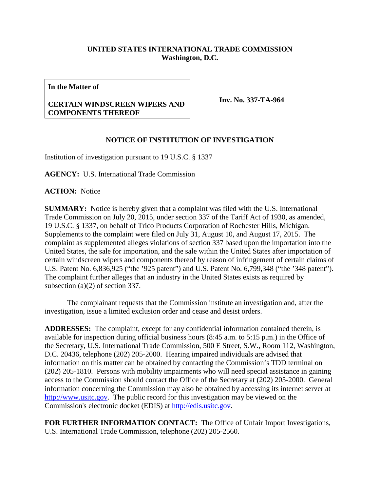## **UNITED STATES INTERNATIONAL TRADE COMMISSION Washington, D.C.**

**In the Matter of**

## **CERTAIN WINDSCREEN WIPERS AND COMPONENTS THEREOF**

**Inv. No. 337-TA-964**

## **NOTICE OF INSTITUTION OF INVESTIGATION**

Institution of investigation pursuant to 19 U.S.C. § 1337

**AGENCY:** U.S. International Trade Commission

**ACTION:** Notice

**SUMMARY:** Notice is hereby given that a complaint was filed with the U.S. International Trade Commission on July 20, 2015, under section 337 of the Tariff Act of 1930, as amended, 19 U.S.C. § 1337, on behalf of Trico Products Corporation of Rochester Hills, Michigan. Supplements to the complaint were filed on July 31, August 10, and August 17, 2015. The complaint as supplemented alleges violations of section 337 based upon the importation into the United States, the sale for importation, and the sale within the United States after importation of certain windscreen wipers and components thereof by reason of infringement of certain claims of U.S. Patent No. 6,836,925 ("the '925 patent") and U.S. Patent No. 6,799,348 ("the '348 patent"). The complaint further alleges that an industry in the United States exists as required by subsection (a)(2) of section 337.

The complainant requests that the Commission institute an investigation and, after the investigation, issue a limited exclusion order and cease and desist orders.

**ADDRESSES:** The complaint, except for any confidential information contained therein, is available for inspection during official business hours (8:45 a.m. to 5:15 p.m.) in the Office of the Secretary, U.S. International Trade Commission, 500 E Street, S.W., Room 112, Washington, D.C. 20436, telephone (202) 205-2000. Hearing impaired individuals are advised that information on this matter can be obtained by contacting the Commission's TDD terminal on (202) 205-1810. Persons with mobility impairments who will need special assistance in gaining access to the Commission should contact the Office of the Secretary at (202) 205-2000. General information concerning the Commission may also be obtained by accessing its internet server at [http://www.usitc.gov.](http://www.usitc.gov/) The public record for this investigation may be viewed on the Commission's electronic docket (EDIS) at [http://edis.usitc.gov.](http://edis.usitc.gov/)

**FOR FURTHER INFORMATION CONTACT:** The Office of Unfair Import Investigations, U.S. International Trade Commission, telephone (202) 205-2560.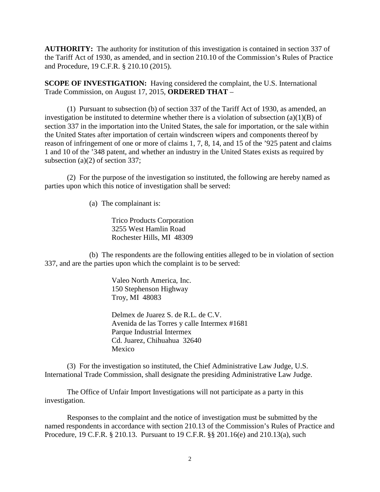**AUTHORITY:** The authority for institution of this investigation is contained in section 337 of the Tariff Act of 1930, as amended, and in section 210.10 of the Commission's Rules of Practice and Procedure, 19 C.F.R. § 210.10 (2015).

**SCOPE OF INVESTIGATION:** Having considered the complaint, the U.S. International Trade Commission, on August 17, 2015, **ORDERED THAT** –

(1) Pursuant to subsection (b) of section 337 of the Tariff Act of 1930, as amended, an investigation be instituted to determine whether there is a violation of subsection  $(a)(1)(B)$  of section 337 in the importation into the United States, the sale for importation, or the sale within the United States after importation of certain windscreen wipers and components thereof by reason of infringement of one or more of claims 1, 7, 8, 14, and 15 of the '925 patent and claims 1 and 10 of the '348 patent, and whether an industry in the United States exists as required by subsection (a)(2) of section 337;

(2) For the purpose of the investigation so instituted, the following are hereby named as parties upon which this notice of investigation shall be served:

(a) The complainant is:

Trico Products Corporation 3255 West Hamlin Road Rochester Hills, MI 48309

(b) The respondents are the following entities alleged to be in violation of section 337, and are the parties upon which the complaint is to be served:

> Valeo North America, Inc. 150 Stephenson Highway Troy, MI 48083

Delmex de Juarez S. de R.L. de C.V. Avenida de las Torres y calle Intermex #1681 Parque Industrial Intermex Cd. Juarez, Chihuahua 32640 Mexico

(3) For the investigation so instituted, the Chief Administrative Law Judge, U.S. International Trade Commission, shall designate the presiding Administrative Law Judge.

The Office of Unfair Import Investigations will not participate as a party in this investigation.

Responses to the complaint and the notice of investigation must be submitted by the named respondents in accordance with section 210.13 of the Commission's Rules of Practice and Procedure, 19 C.F.R. § 210.13. Pursuant to 19 C.F.R. §§ 201.16(e) and 210.13(a), such